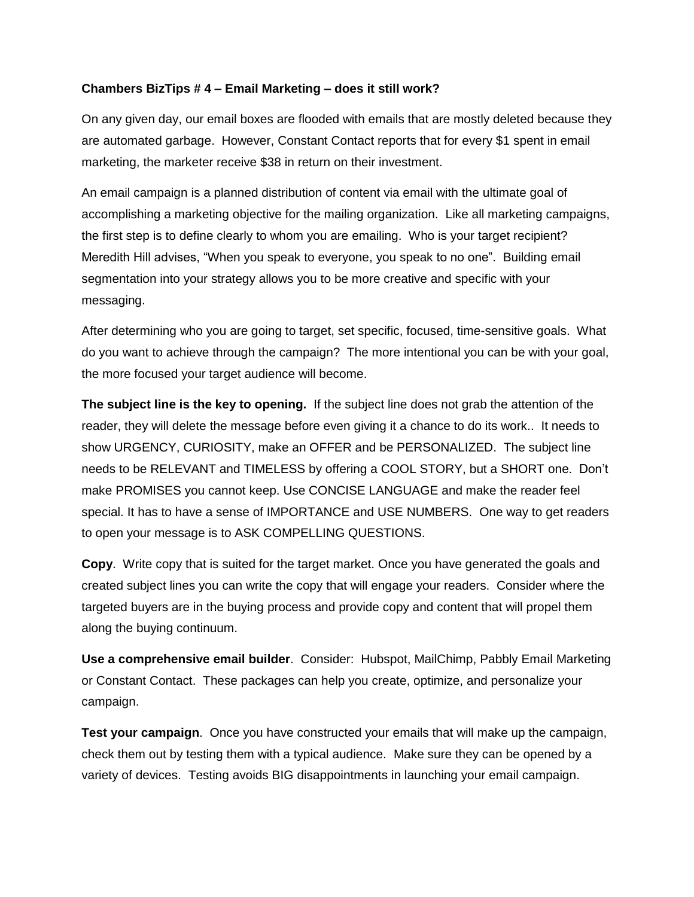## **Chambers BizTips # 4 – Email Marketing – does it still work?**

On any given day, our email boxes are flooded with emails that are mostly deleted because they are automated garbage. However, Constant Contact reports that for every \$1 spent in email marketing, the marketer receive \$38 in return on their investment.

An email campaign is a planned distribution of content via email with the ultimate goal of accomplishing a marketing objective for the mailing organization. Like all marketing campaigns, the first step is to define clearly to whom you are emailing. Who is your target recipient? Meredith Hill advises, "When you speak to everyone, you speak to no one". Building email segmentation into your strategy allows you to be more creative and specific with your messaging.

After determining who you are going to target, set specific, focused, time-sensitive goals. What do you want to achieve through the campaign? The more intentional you can be with your goal, the more focused your target audience will become.

**The subject line is the key to opening.** If the subject line does not grab the attention of the reader, they will delete the message before even giving it a chance to do its work.. It needs to show URGENCY, CURIOSITY, make an OFFER and be PERSONALIZED. The subject line needs to be RELEVANT and TIMELESS by offering a COOL STORY, but a SHORT one. Don't make PROMISES you cannot keep. Use CONCISE LANGUAGE and make the reader feel special. It has to have a sense of IMPORTANCE and USE NUMBERS. One way to get readers to open your message is to ASK COMPELLING QUESTIONS.

**Copy**. Write copy that is suited for the target market. Once you have generated the goals and created subject lines you can write the copy that will engage your readers. Consider where the targeted buyers are in the buying process and provide copy and content that will propel them along the buying continuum.

**Use a comprehensive email builder**. Consider: Hubspot, MailChimp, Pabbly Email Marketing or Constant Contact. These packages can help you create, optimize, and personalize your campaign.

**Test your campaign**. Once you have constructed your emails that will make up the campaign, check them out by testing them with a typical audience. Make sure they can be opened by a variety of devices. Testing avoids BIG disappointments in launching your email campaign.